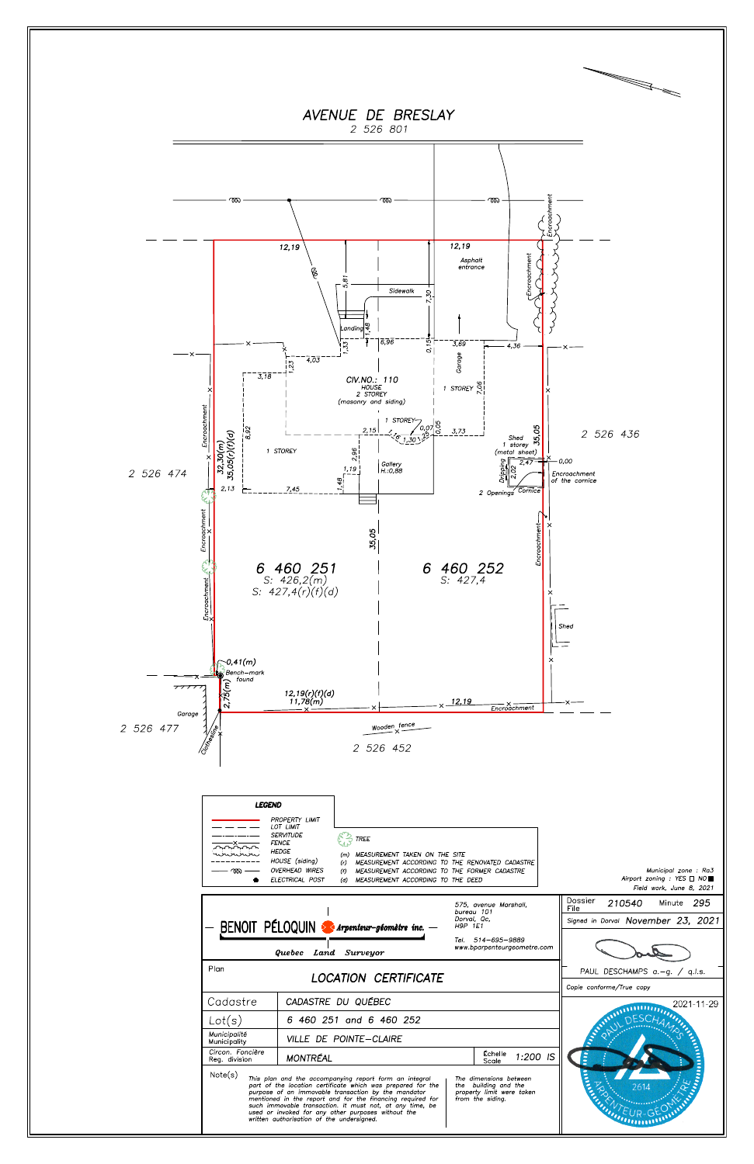

| wwww<br>$\infty$ –                  | MEASUREMENT TAKEN ON THE SITE<br>HOUSE (siding)<br>MEASUREMENT ACCORDING TO THE RENOVATED CADASTRE<br>(r)<br><b>OVERHEAD WIRES</b><br>MEASUREMENT ACCORDING TO THE FORMER CADASTRE<br>(f)<br><b>ELECTRICAL POST</b><br>(d) MEASUREMENT ACCORDING TO THE DEED                                                                                                                                              |                                                                                                                   | Municipal zone: Ra3<br>Airport zoning : YES $\Box$ NO<br>Field work, June 8, 2021 |
|-------------------------------------|-----------------------------------------------------------------------------------------------------------------------------------------------------------------------------------------------------------------------------------------------------------------------------------------------------------------------------------------------------------------------------------------------------------|-------------------------------------------------------------------------------------------------------------------|-----------------------------------------------------------------------------------|
|                                     | BENOIT PÉLOQUIN > Arpenteur-géomètre inc. -<br>Quebec Land Surveyor                                                                                                                                                                                                                                                                                                                                       | 575, avenue Marshall,<br>bureau 101<br>Dorval, Qc,<br>H9P 1E1<br>Tel. 514-695-9889<br>www.bparpenteurgeometre.com | Dossier<br>210540<br>295<br>Minute<br>File<br>Signed in Dorval November 23, 2021  |
| Plan<br><b>LOCATION CERTIFICATE</b> |                                                                                                                                                                                                                                                                                                                                                                                                           |                                                                                                                   | PAUL DESCHAMPS $a.-g.$ / q.l.s.<br>Copie conforme/True copy                       |
| Cadastre                            | CADASTRE DU QUÉBEC                                                                                                                                                                                                                                                                                                                                                                                        |                                                                                                                   | 2021-11-29                                                                        |
| Lot(s)                              | 6 460 251 and 6 460 252                                                                                                                                                                                                                                                                                                                                                                                   |                                                                                                                   |                                                                                   |
| Municipalité<br>Municipality        | VILLE DE POINTE-CLAIRE                                                                                                                                                                                                                                                                                                                                                                                    |                                                                                                                   |                                                                                   |
| Circon. Foncière<br>Req. division   | <b>MONTRÉAL</b>                                                                                                                                                                                                                                                                                                                                                                                           | Echelle<br>1:200 IS<br>Scale                                                                                      | E                                                                                 |
| Note(s)                             | This plan and the accompanying report form an integral<br>part of the location certificate which was prepared for the<br>purpose of an immovable transaction by the mandator<br>mentioned in the report and for the financing required for<br>such immovable transaction. It must not, at any time, be<br>used or invoked for any other purposes without the<br>written authorisation of the undersigned. | The dimensions between<br>the building and the<br>property limit were taken<br>from the siding.                   | 2614                                                                              |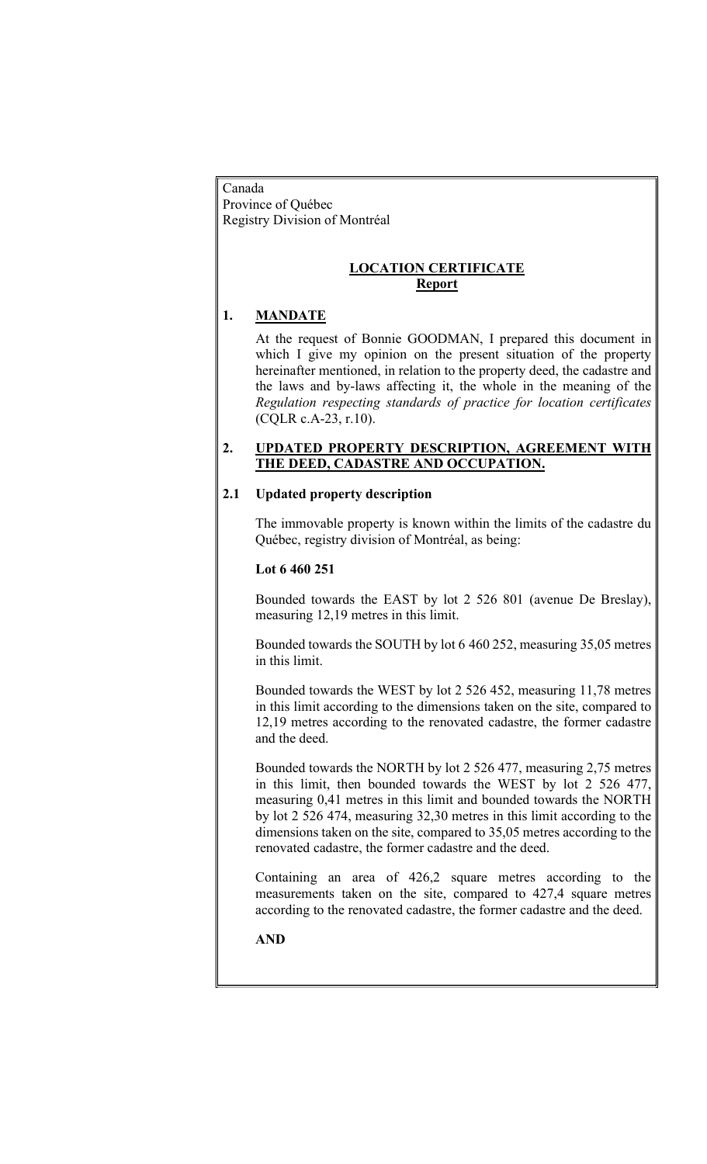Canada Province of Québec

Registry Division of Montréal

### LOCATION CERTIFICATE Report

# 1. MANDATE

At the request of Bonnie GOODMAN, I prepared this document in which I give my opinion on the present situation of the property hereinafter mentioned, in relation to the property deed, the cadastre and the laws and by-laws affecting it, the whole in the meaning of the Regulation respecting standards of practice for location certificates (CQLR c.A-23, r.10).

## 2. UPDATED PROPERTY DESCRIPTION, AGREEMENT WITH THE DEED, CADASTRE AND OCCUPATION.

# 2.1 Updated property description

The immovable property is known within the limits of the cadastre du Québec, registry division of Montréal, as being:

## Lot 6 460 251

Bounded towards the EAST by lot 2 526 801 (avenue De Breslay), measuring 12,19 metres in this limit.

Bounded towards the SOUTH by lot 6 460 252, measuring 35,05 metres in this limit.

Bounded towards the WEST by lot 2 526 452, measuring 11,78 metres in this limit according to the dimensions taken on the site, compared to 12,19 metres according to the renovated cadastre, the former cadastre and the deed.

Bounded towards the NORTH by lot 2 526 477, measuring 2,75 metres in this limit, then bounded towards the WEST by lot 2 526 477, measuring 0,41 metres in this limit and bounded towards the NORTH by lot 2 526 474, measuring 32,30 metres in this limit according to the dimensions taken on the site, compared to 35,05 metres according to the renovated cadastre, the former cadastre and the deed.

Containing an area of 426,2 square metres according to the measurements taken on the site, compared to 427,4 square metres according to the renovated cadastre, the former cadastre and the deed.

AND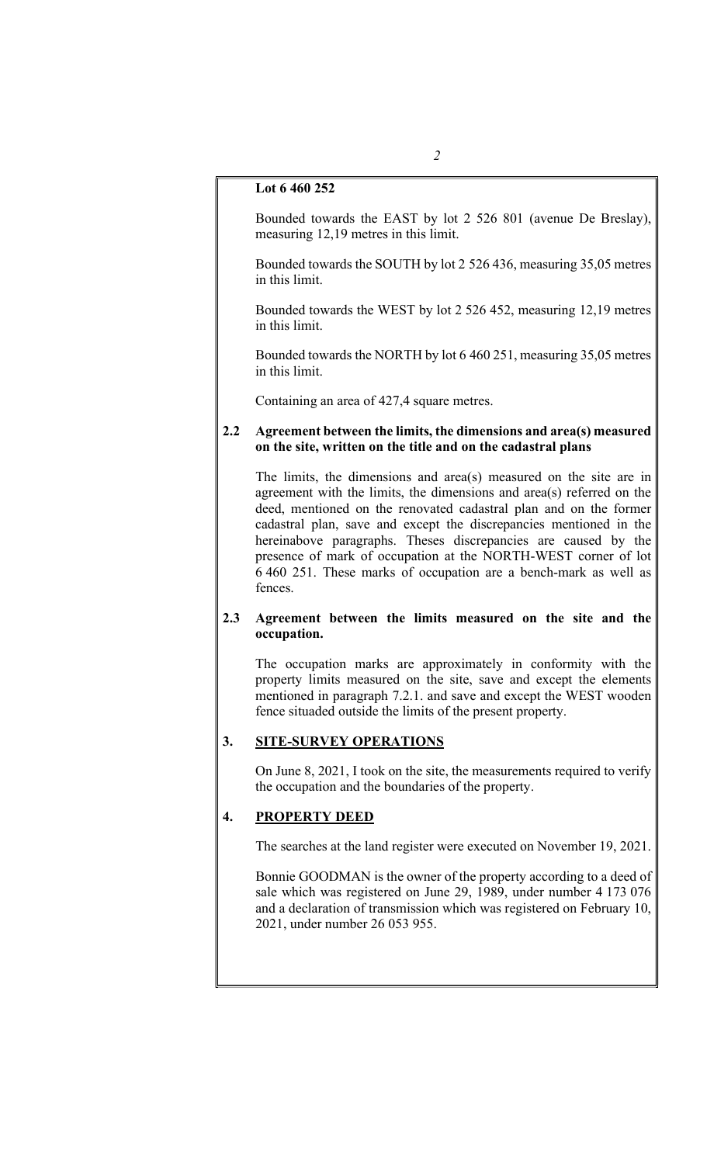#### Lot 6 460 252

Bounded towards the EAST by lot 2 526 801 (avenue De Breslay), measuring 12,19 metres in this limit.

Bounded towards the SOUTH by lot 2 526 436, measuring 35,05 metres in this limit.

Bounded towards the WEST by lot 2 526 452, measuring 12,19 metres in this limit.

Bounded towards the NORTH by lot 6 460 251, measuring 35,05 metres in this limit.

Containing an area of 427,4 square metres.

#### 2.2 Agreement between the limits, the dimensions and area(s) measured on the site, written on the title and on the cadastral plans

The limits, the dimensions and area(s) measured on the site are in agreement with the limits, the dimensions and area(s) referred on the deed, mentioned on the renovated cadastral plan and on the former cadastral plan, save and except the discrepancies mentioned in the hereinabove paragraphs. Theses discrepancies are caused by the presence of mark of occupation at the NORTH-WEST corner of lot 6 460 251. These marks of occupation are a bench-mark as well as fences.

#### 2.3 Agreement between the limits measured on the site and the occupation.

The occupation marks are approximately in conformity with the property limits measured on the site, save and except the elements mentioned in paragraph 7.2.1. and save and except the WEST wooden fence situaded outside the limits of the present property.

#### 3. SITE-SURVEY OPERATIONS

On June 8, 2021, I took on the site, the measurements required to verify the occupation and the boundaries of the property.

### 4. PROPERTY DEED

The searches at the land register were executed on November 19, 2021.

Bonnie GOODMAN is the owner of the property according to a deed of sale which was registered on June 29, 1989, under number 4 173 076 and a declaration of transmission which was registered on February 10, 2021, under number 26 053 955.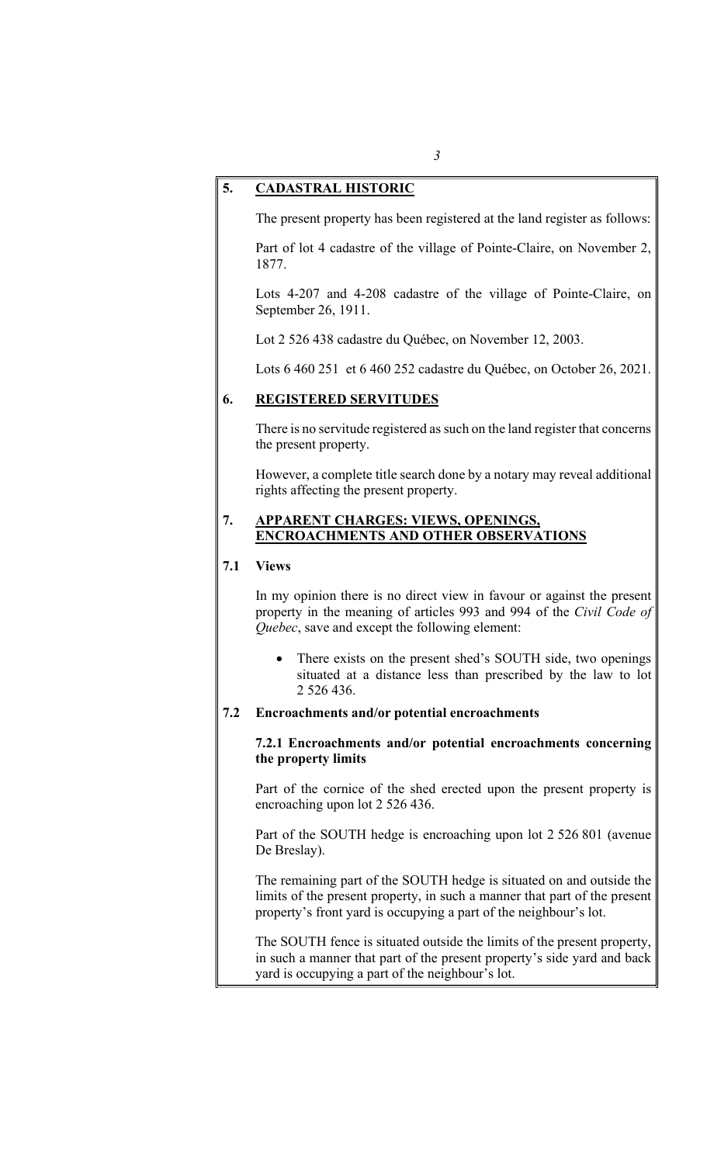#### 5. CADASTRAL HISTORIC

The present property has been registered at the land register as follows:

Part of lot 4 cadastre of the village of Pointe-Claire, on November 2, 1877.

Lots 4-207 and 4-208 cadastre of the village of Pointe-Claire, on September 26, 1911.

Lot 2 526 438 cadastre du Québec, on November 12, 2003.

Lots 6 460 251 et 6 460 252 cadastre du Québec, on October 26, 2021.

#### 6. REGISTERED SERVITUDES

There is no servitude registered as such on the land register that concerns the present property.

However, a complete title search done by a notary may reveal additional rights affecting the present property.

#### 7. APPARENT CHARGES: VIEWS, OPENINGS, ENCROACHMENTS AND OTHER OBSERVATIONS

### 7.1 Views

In my opinion there is no direct view in favour or against the present property in the meaning of articles 993 and 994 of the Civil Code of Quebec, save and except the following element:

 There exists on the present shed's SOUTH side, two openings situated at a distance less than prescribed by the law to lot 2 526 436.

#### 7.2 Encroachments and/or potential encroachments

#### 7.2.1 Encroachments and/or potential encroachments concerning the property limits

Part of the cornice of the shed erected upon the present property is encroaching upon lot 2 526 436.

Part of the SOUTH hedge is encroaching upon lot 2 526 801 (avenue De Breslay).

The remaining part of the SOUTH hedge is situated on and outside the limits of the present property, in such a manner that part of the present property's front yard is occupying a part of the neighbour's lot.

The SOUTH fence is situated outside the limits of the present property, in such a manner that part of the present property's side yard and back yard is occupying a part of the neighbour's lot.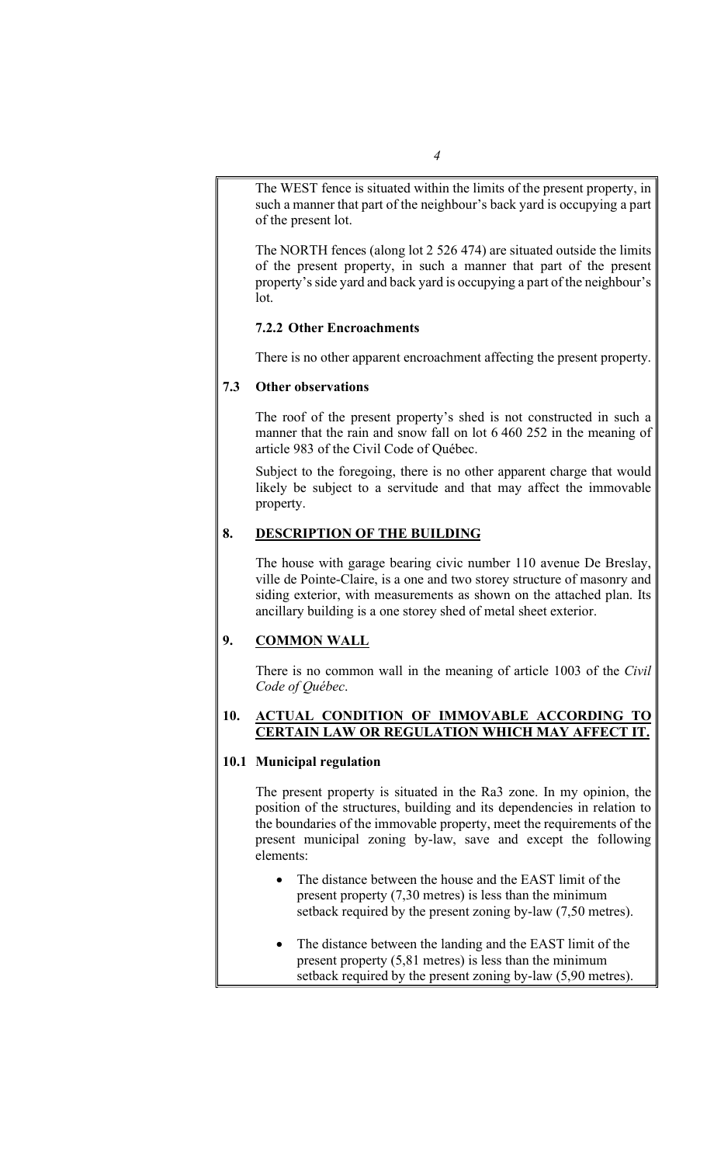The WEST fence is situated within the limits of the present property, in such a manner that part of the neighbour's back yard is occupying a part of the present lot.

The NORTH fences (along lot 2 526 474) are situated outside the limits of the present property, in such a manner that part of the present property's side yard and back yard is occupying a part of the neighbour's lot.

## 7.2.2 Other Encroachments

There is no other apparent encroachment affecting the present property.

### 7.3 Other observations

The roof of the present property's shed is not constructed in such a manner that the rain and snow fall on lot 6 460 252 in the meaning of article 983 of the Civil Code of Québec.

Subject to the foregoing, there is no other apparent charge that would likely be subject to a servitude and that may affect the immovable property.

## 8. DESCRIPTION OF THE BUILDING

The house with garage bearing civic number 110 avenue De Breslay, ville de Pointe-Claire, is a one and two storey structure of masonry and siding exterior, with measurements as shown on the attached plan. Its ancillary building is a one storey shed of metal sheet exterior.

## 9. COMMON WALL

There is no common wall in the meaning of article 1003 of the Civil Code of Québec.

### 10. ACTUAL CONDITION OF IMMOVABLE ACCORDING TO CERTAIN LAW OR REGULATION WHICH MAY AFFECT IT.

## 10.1 Municipal regulation

The present property is situated in the Ra3 zone. In my opinion, the position of the structures, building and its dependencies in relation to the boundaries of the immovable property, meet the requirements of the present municipal zoning by-law, save and except the following elements:

- The distance between the house and the EAST limit of the present property (7,30 metres) is less than the minimum setback required by the present zoning by-law (7,50 metres).
- The distance between the landing and the EAST limit of the present property (5,81 metres) is less than the minimum setback required by the present zoning by-law (5,90 metres).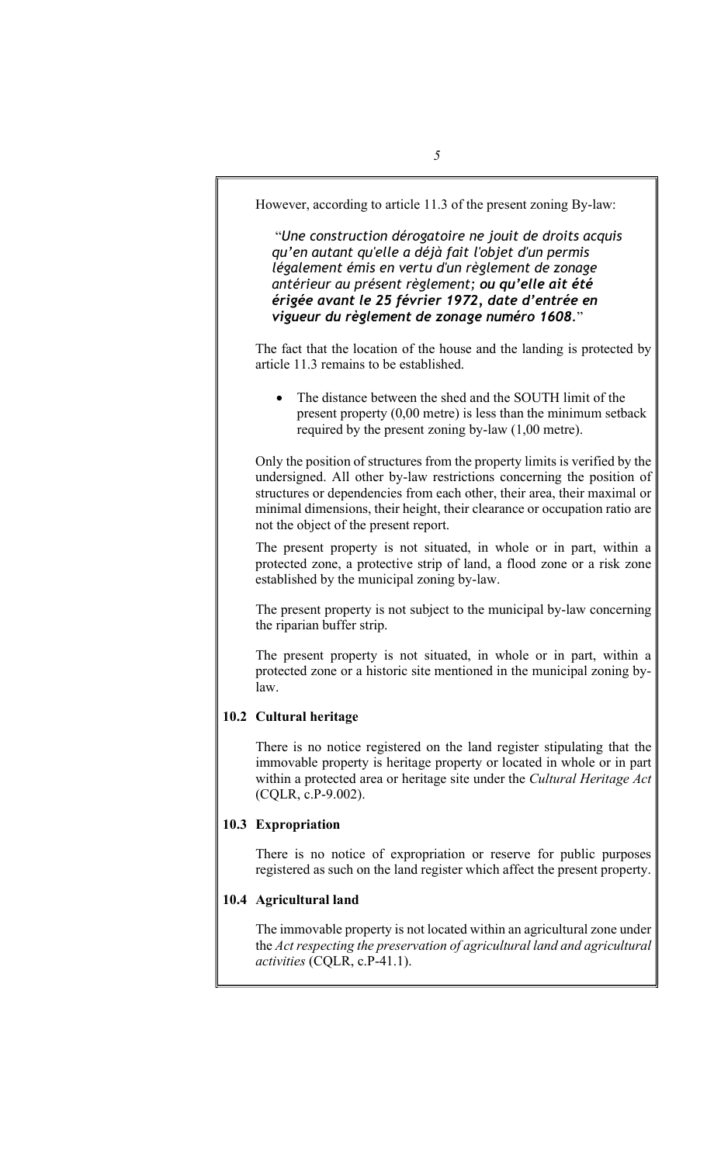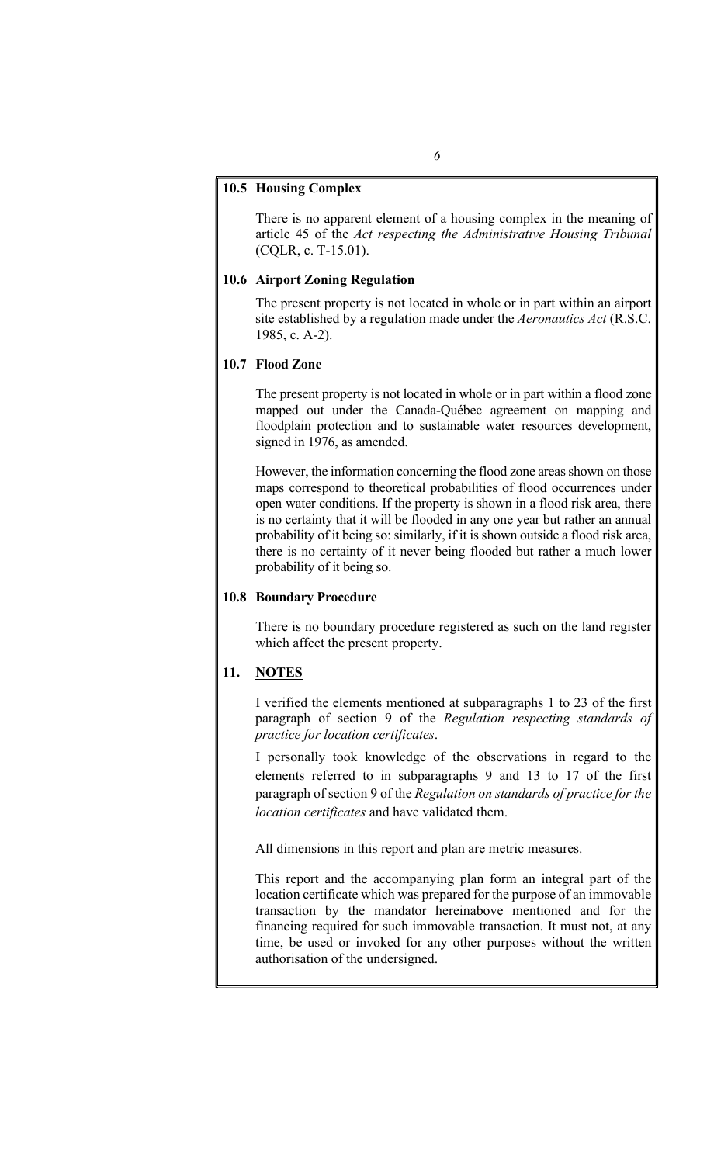#### 10.5 Housing Complex

There is no apparent element of a housing complex in the meaning of article 45 of the Act respecting the Administrative Housing Tribunal (CQLR, c. T-15.01).

#### 10.6 Airport Zoning Regulation

The present property is not located in whole or in part within an airport site established by a regulation made under the Aeronautics Act (R.S.C. 1985, c. A-2).

#### 10.7 Flood Zone

The present property is not located in whole or in part within a flood zone mapped out under the Canada-Québec agreement on mapping and floodplain protection and to sustainable water resources development, signed in 1976, as amended.

However, the information concerning the flood zone areas shown on those maps correspond to theoretical probabilities of flood occurrences under open water conditions. If the property is shown in a flood risk area, there is no certainty that it will be flooded in any one year but rather an annual probability of it being so: similarly, if it is shown outside a flood risk area, there is no certainty of it never being flooded but rather a much lower probability of it being so.

#### 10.8 Boundary Procedure

There is no boundary procedure registered as such on the land register which affect the present property.

### 11. **NOTES**

I verified the elements mentioned at subparagraphs 1 to 23 of the first paragraph of section 9 of the Regulation respecting standards of practice for location certificates.

I personally took knowledge of the observations in regard to the elements referred to in subparagraphs 9 and 13 to 17 of the first paragraph of section 9 of the Regulation on standards of practice for the location certificates and have validated them.

All dimensions in this report and plan are metric measures.

This report and the accompanying plan form an integral part of the location certificate which was prepared for the purpose of an immovable transaction by the mandator hereinabove mentioned and for the financing required for such immovable transaction. It must not, at any time, be used or invoked for any other purposes without the written authorisation of the undersigned.